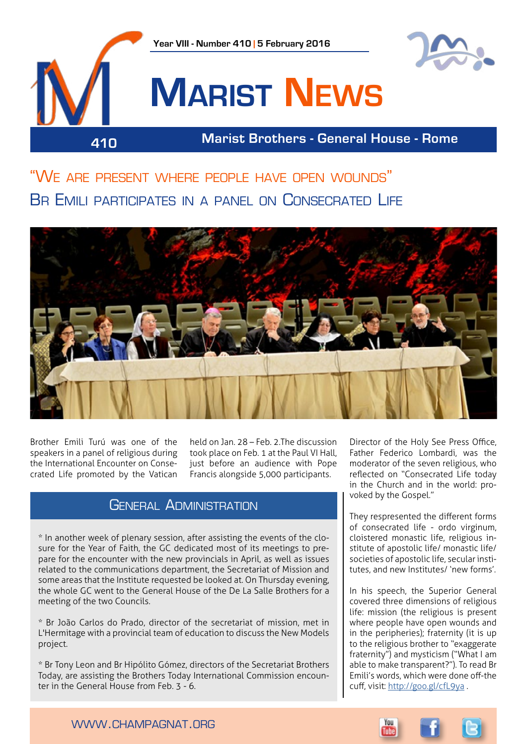

"We are present where people have open wounds" Br Emili participates in a panel on Consecrated Life



Brother Emili Turú was one of the speakers in a panel of religious during the International Encounter on Consecrated Life promoted by the Vatican

held on Jan. 28 – Feb. 2.The discussion took place on Feb. 1 at the Paul VI Hall, just before an audience with Pope Francis alongside 5,000 participants.

### GENERAL ADMINISTRATION

\* In another week of plenary session, after assisting the events of the closure for the Year of Faith, the GC dedicated most of its meetings to prepare for the encounter with the new provincials in April, as well as issues related to the communications department, the Secretariat of Mission and some areas that the Institute requested be looked at. On Thursday evening, the whole GC went to the General House of the De La Salle Brothers for a meeting of the two Councils.

\* Br João Carlos do Prado, director of the secretariat of mission, met in L'Hermitage with a provincial team of education to discuss the New Models project.

\* Br Tony Leon and Br Hipólito Gómez, directors of the Secretariat Brothers Today, are assisting the Brothers Today International Commission encounter in the General House from Feb. 3 - 6.

Director of the Holy See Press Office, Father Federico Lombardi, was the moderator of the seven religious, who reflected on "Consecrated Life today in the Church and in the world: provoked by the Gospel."

They respresented the different forms of consecrated life - ordo virginum, cloistered monastic life, religious institute of apostolic life/ monastic life/ societies of apostolic life, secular institutes, and new Institutes/ 'new forms'.

In his speech, the Superior General covered three dimensions of religious life: mission (the religious is present where people have open wounds and in the peripheries); fraternity (it is up to the religious brother to "exaggerate fraternity") and mysticism ("What I am able to make transparent?"). To read Br Emili's words, which were done off-the cuff, visit: <http://goo.gl/cfL9ya>.

www.champagnat.org

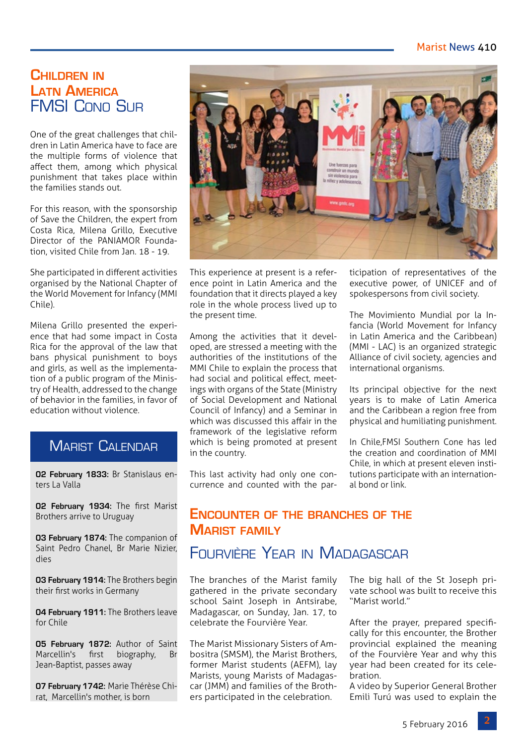#### Marist News 410

## **Children in Latn America** FMSI Cono Sur

One of the great challenges that children in Latin America have to face are the multiple forms of violence that affect them, among which physical punishment that takes place within the families stands out.

For this reason, with the sponsorship of Save the Children, the expert from Costa Rica, Milena Grillo, Executive Director of the PANIAMOR Foundation, visited Chile from Jan. 18 - 19.

She participated in different activities organised by the National Chapter of the World Movement for Infancy (MMI Chile).

Milena Grillo presented the experience that had some impact in Costa Rica for the approval of the law that bans physical punishment to boys and girls, as well as the implementation of a public program of the Ministry of Health, addressed to the change of behavior in the families, in favor of education without violence.

## **MARIST CALENDAR**

**02 February 1833:** Br Stanislaus enters La Valla

**02 February 1934:** The first Marist Brothers arrive to Uruguay

**03 February 1874:** The companion of Saint Pedro Chanel, Br Marie Nizier, dies

**03 February 1914:** The Brothers begin their first works in Germany

**04 February 1911:** The Brothers leave for Chile

**05 February 1872:** Author of Saint Marcellin's first biography, Br Jean-Baptist, passes away

**07 February 1742:** Marie Thérèse Chirat, Marcellin's mother, is born



This experience at present is a reference point in Latin America and the foundation that it directs played a key role in the whole process lived up to the present time.

Among the activities that it developed, are stressed a meeting with the authorities of the institutions of the MMI Chile to explain the process that had social and political effect, meetings with organs of the State (Ministry of Social Development and National Council of Infancy) and a Seminar in which was discussed this affair in the framework of the legislative reform which is being promoted at present in the country.

This last activity had only one concurrence and counted with the participation of representatives of the executive power, of UNICEF and of spokespersons from civil society.

The Movimiento Mundial por la Infancia (World Movement for Infancy in Latin America and the Caribbean) (MMI - LAC) is an organized strategic Alliance of civil society, agencies and international organisms.

Its principal objective for the next years is to make of Latin America and the Caribbean a region free from physical and humiliating punishment.

In Chile,FMSI Southern Cone has led the creation and coordination of MMI Chile, in which at present eleven institutions participate with an international bond or link.

# **Encounter of the branches of the Marist family**

## Fourvière Year in Madagascar

The branches of the Marist family gathered in the private secondary school Saint Joseph in Antsirabe, Madagascar, on Sunday, Jan. 17, to celebrate the Fourvière Year.

The Marist Missionary Sisters of Ambositra (SMSM), the Marist Brothers, former Marist students (AEFM), lay Marists, young Marists of Madagascar (JMM) and families of the Brothers participated in the celebration.

The big hall of the St Joseph private school was built to receive this "Marist world."

After the prayer, prepared specifically for this encounter, the Brother provincial explained the meaning of the Fourvière Year and why this year had been created for its cele**bration** 

A video by Superior General Brother Emili Turú was used to explain the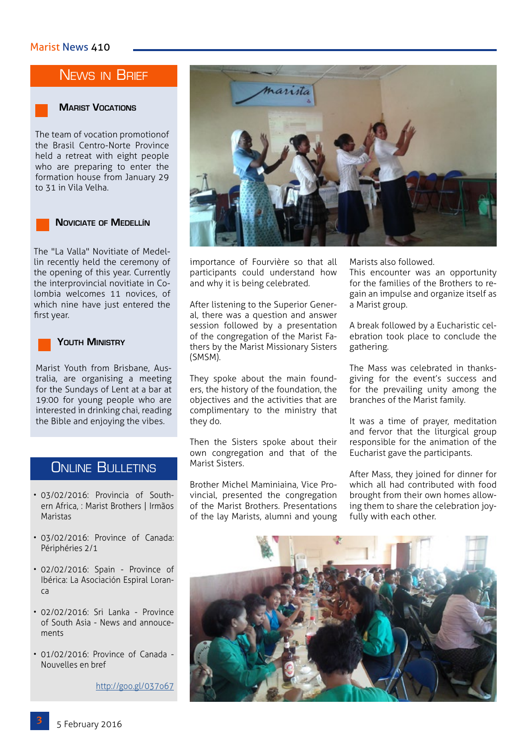# NEWS IN BRIEF



#### **Marist Vocations**

The team of vocation promotionof the Brasil Centro-Norte Province held a retreat with eight people who are preparing to enter the formation house from January 29 to 31 in Vila Velha.



The "La Valla" Novitiate of Medellin recently held the ceremony of the opening of this year. Currently the interprovincial novitiate in Colombia welcomes 11 novices, of which nine have just entered the first year.



#### **Youth Ministry**

Marist Youth from Brisbane, Australia, are organising a meeting for the Sundays of Lent at a bar at 19:00 for young people who are interested in drinking chai, reading the Bible and enjoying the vibes.

#### **ONLINE BULLETINS**

- 03/02/2016: Provincia of Southern Africa, : Marist Brothers | Irmãos Maristas
- 03/02/2016: Province of Canada: Périphéries 2/1
- 02/02/2016: Spain Province of Ibérica: La Asociación Espiral Loranca
- 02/02/2016: Sri Lanka Province of South Asia - News and annoucements
- 01/02/2016: Province of Canada Nouvelles en bref

<http://goo.gl/037o67>



importance of Fourvière so that all participants could understand how and why it is being celebrated.

After listening to the Superior General, there was a question and answer session followed by a presentation of the congregation of the Marist Fathers by the Marist Missionary Sisters (SMSM).

They spoke about the main founders, the history of the foundation, the objectives and the activities that are complimentary to the ministry that they do.

Then the Sisters spoke about their own congregation and that of the Marist Sisters.

Brother Michel Maminiaina, Vice Provincial, presented the congregation of the Marist Brothers. Presentations of the lay Marists, alumni and young Marists also followed.

This encounter was an opportunity for the families of the Brothers to regain an impulse and organize itself as a Marist group.

A break followed by a Eucharistic celebration took place to conclude the gathering.

The Mass was celebrated in thanksgiving for the event's success and for the prevailing unity among the branches of the Marist family.

It was a time of prayer, meditation and fervor that the liturgical group responsible for the animation of the Eucharist gave the participants.

After Mass, they joined for dinner for which all had contributed with food brought from their own homes allowing them to share the celebration joyfully with each other.

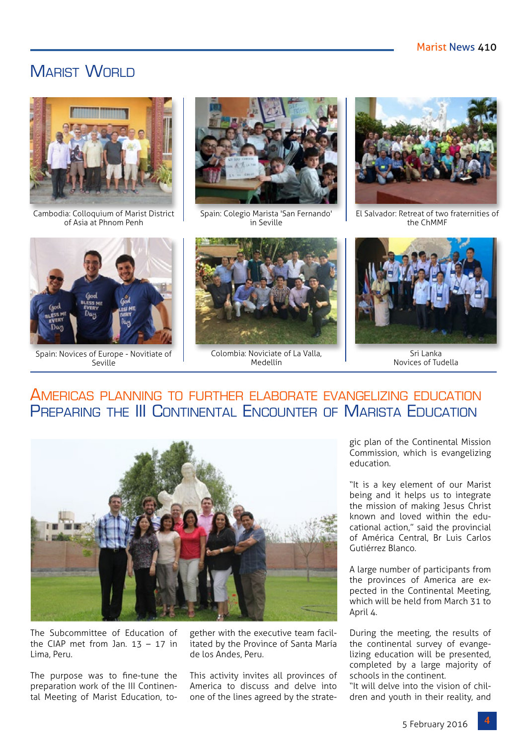## MARIST WORLD



Cambodia: Colloquium of Marist District of Asia at Phnom Penh



Spain: Novices of Europe - Novitiate of Seville



Spain: Colegio Marista 'San Fernando' in Seville



Colombia: Noviciate of La Valla, Medellín



El Salvador: Retreat of two fraternities of the ChMMF



Sri Lanka Novices of Tudella

# Americas planning to further elaborate evangelizing education Preparing the III Continental Encounter of Marista Education



The Subcommittee of Education of the CIAP met from Jan.  $13 - 17$  in Lima, Peru.

The purpose was to fine-tune the preparation work of the III Continental Meeting of Marist Education, together with the executive team facilitated by the Province of Santa María de los Andes, Peru.

This activity invites all provinces of America to discuss and delve into one of the lines agreed by the strategic plan of the Continental Mission Commission, which is evangelizing education.

"It is a key element of our Marist being and it helps us to integrate the mission of making Jesus Christ known and loved within the educational action," said the provincial of América Central, Br Luis Carlos Gutiérrez Blanco.

A large number of participants from the provinces of America are expected in the Continental Meeting, which will be held from March 31 to April 4.

During the meeting, the results of the continental survey of evangelizing education will be presented, completed by a large majority of schools in the continent.

"It will delve into the vision of children and youth in their reality, and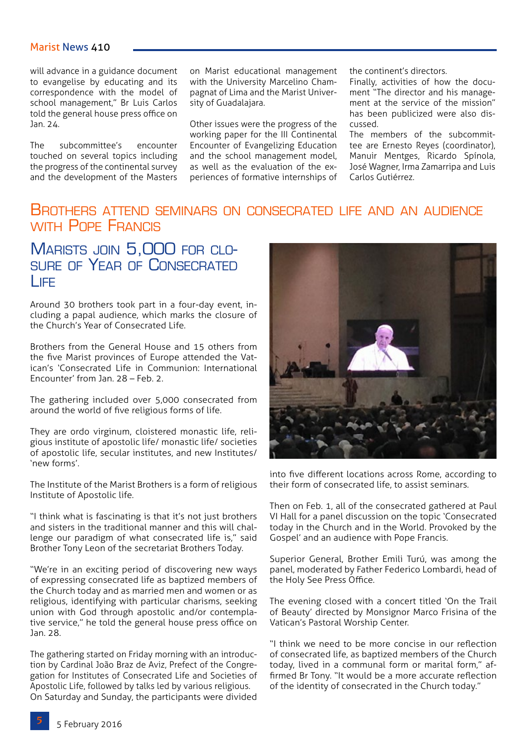will advance in a guidance document to evangelise by educating and its correspondence with the model of school management," Br Luis Carlos told the general house press office on Jan. 24.

The subcommittee's encounter touched on several topics including the progress of the continental survey and the development of the Masters on Marist educational management with the University Marcelino Champagnat of Lima and the Marist University of Guadalajara.

Other issues were the progress of the working paper for the III Continental Encounter of Evangelizing Education and the school management model, as well as the evaluation of the experiences of formative internships of the continent's directors.

Finally, activities of how the document "The director and his management at the service of the mission" has been publicized were also discussed.

The members of the subcommittee are Ernesto Reyes (coordinator), Manuir Mentges, Ricardo Spínola, José Wagner, Irma Zamarripa and Luis Carlos Gutiérrez.

## Brothers attend seminars on consecrated life and an audience WITH POPE FRANCIS

## MARISTS JOIN 5,000 FOR CLOsure of Year of Consecrated Life

Around 30 brothers took part in a four-day event, including a papal audience, which marks the closure of the Church's Year of Consecrated Life.

Brothers from the General House and 15 others from the five Marist provinces of Europe attended the Vatican's 'Consecrated Life in Communion: International Encounter' from Jan. 28 – Feb. 2.

The gathering included over 5,000 consecrated from around the world of five religious forms of life.

They are ordo virginum, cloistered monastic life, religious institute of apostolic life/ monastic life/ societies of apostolic life, secular institutes, and new Institutes/ 'new forms'.

The Institute of the Marist Brothers is a form of religious Institute of Apostolic life.

"I think what is fascinating is that it's not just brothers and sisters in the traditional manner and this will challenge our paradigm of what consecrated life is," said Brother Tony Leon of the secretariat Brothers Today.

"We're in an exciting period of discovering new ways of expressing consecrated life as baptized members of the Church today and as married men and women or as religious, identifying with particular charisms, seeking union with God through apostolic and/or contemplative service," he told the general house press office on Jan. 28.

The gathering started on Friday morning with an introduction by Cardinal João Braz de Aviz, Prefect of the Congregation for Institutes of Consecrated Life and Societies of Apostolic Life, followed by talks led by various religious. On Saturday and Sunday, the participants were divided



into five different locations across Rome, according to their form of consecrated life, to assist seminars.

Then on Feb. 1, all of the consecrated gathered at Paul VI Hall for a panel discussion on the topic 'Consecrated today in the Church and in the World. Provoked by the Gospel' and an audience with Pope Francis.

Superior General, Brother Emili Turú, was among the panel, moderated by Father Federico Lombardi, head of the Holy See Press Office.

The evening closed with a concert titled 'On the Trail of Beauty' directed by Monsignor Marco Frisina of the Vatican's Pastoral Worship Center.

"I think we need to be more concise in our reflection of consecrated life, as baptized members of the Church today, lived in a communal form or marital form," affirmed Br Tony. "It would be a more accurate reflection of the identity of consecrated in the Church today."